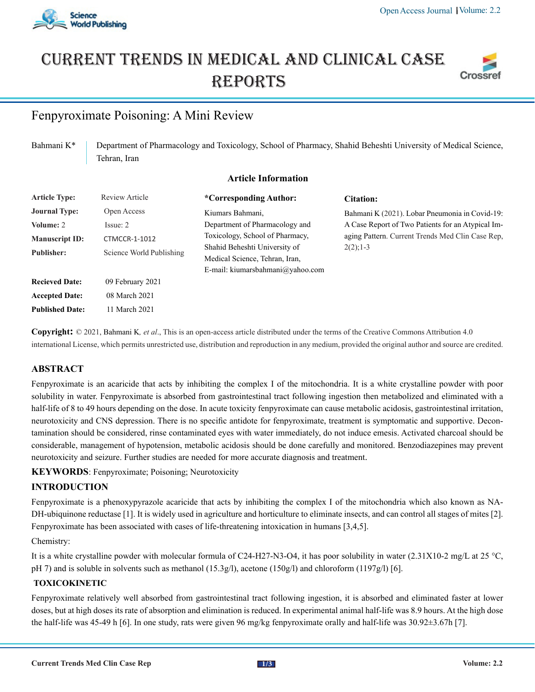

# Current trends in medical and Clinical case **REPORTS**



# Fenpyroximate Poisoning: A Mini Review

Bahmani K<sup>\*</sup> Department of Pharmacology and Toxicology, School of Pharmacy, Shahid Beheshti University of Medical Science, Tehran, Iran

# **Article Information**

| <b>Article Type:</b>   | Review Article           | *Corresponding Author:           | Citation:                                         |
|------------------------|--------------------------|----------------------------------|---------------------------------------------------|
| <b>Journal Type:</b>   | Open Access              | Kiumars Bahmani,                 | Bahmani K (2021). Lobar Pneumonia in Covid-19:    |
| Volume: 2              | Issue: 2                 | Department of Pharmacology and   | A Case Report of Two Patients for an Atypical Im- |
| <b>Manuscript ID:</b>  | <b>CTMCCR-1-1012</b>     | Toxicology, School of Pharmacy,  | aging Pattern. Current Trends Med Clin Case Rep.  |
| <b>Publisher:</b>      | Science World Publishing | Shahid Beheshti University of    | $2(2)$ ; 1-3                                      |
|                        |                          | Medical Science, Tehran, Iran,   |                                                   |
|                        |                          | E-mail: kiumarsbahmani@yahoo.com |                                                   |
| <b>Recieved Date:</b>  | 09 February 2021         |                                  |                                                   |
| <b>Accepted Date:</b>  | 08 March 2021            |                                  |                                                   |
| <b>Published Date:</b> | 11 March 2021            |                                  |                                                   |

**Copyright:** © 2021, Bahmani K*, et al*., This is an open-access article distributed under the terms of the Creative Commons Attribution 4.0 international License, which permits unrestricted use, distribution and reproduction in any medium, provided the original author and source are credited.

# **ABSTRACT**

Fenpyroximate is an acaricide that acts by inhibiting the complex I of the mitochondria. It is a white crystalline powder with poor solubility in water. Fenpyroximate is absorbed from gastrointestinal tract following ingestion then metabolized and eliminated with a half-life of 8 to 49 hours depending on the dose. In acute toxicity fenpyroximate can cause metabolic acidosis, gastrointestinal irritation, neurotoxicity and CNS depression. There is no specific antidote for fenpyroximate, treatment is symptomatic and supportive. Decontamination should be considered, rinse contaminated eyes with water immediately, do not induce emesis. Activated charcoal should be considerable, management of hypotension, metabolic acidosis should be done carefully and monitored. Benzodiazepines may prevent neurotoxicity and seizure. Further studies are needed for more accurate diagnosis and treatment.

**KEYWORDS**: Fenpyroximate; Poisoning; Neurotoxicity

# **INTRODUCTION**

Fenpyroximate is a phenoxypyrazole acaricide that acts by inhibiting the complex I of the mitochondria which also known as NA-DH-ubiquinone reductase [1]. It is widely used in agriculture and horticulture to eliminate insects, and can control all stages of mites [2]. Fenpyroximate has been associated with cases of life-threatening intoxication in humans [3,4,5].

### Chemistry:

It is a white crystalline powder with molecular formula of C24-H27-N3-O4, it has poor solubility in water (2.31X10-2 mg/L at 25 °C, pH 7) and is soluble in solvents such as methanol (15.3g/l), acetone (150g/l) and chloroform (1197g/l) [6].

# **TOXICOKINETIC**

Fenpyroximate relatively well absorbed from gastrointestinal tract following ingestion, it is absorbed and eliminated faster at lower doses, but at high doses its rate of absorption and elimination is reduced. In experimental animal half-life was 8.9 hours. At the high dose the half-life was 45-49 h [6]. In one study, rats were given 96 mg/kg fenpyroximate orally and half-life was 30.92±3.67h [7].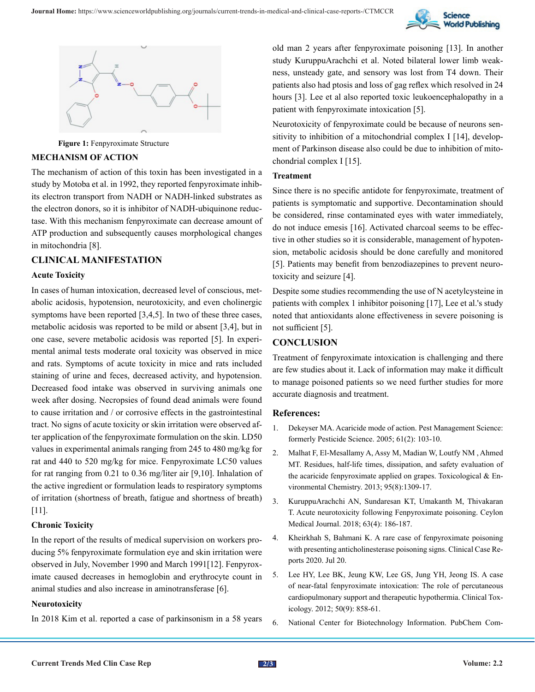



**Figure 1:** Fenpyroximate Structure

#### **MECHANISM OF ACTION**

The mechanism of action of this toxin has been investigated in a study by Motoba et al. in 1992, they reported fenpyroximate inhibits electron transport from NADH or NADH-linked substrates as the electron donors, so it is inhibitor of NADH-ubiquinone reductase. With this mechanism fenpyroximate can decrease amount of ATP production and subsequently causes morphological changes in mitochondria [8].

# **CLINICAL MANIFESTATION**

### **Acute Toxicity**

In cases of human intoxication, decreased level of conscious, metabolic acidosis, hypotension, neurotoxicity, and even cholinergic symptoms have been reported [3,4,5]. In two of these three cases, metabolic acidosis was reported to be mild or absent [3,4], but in one case, severe metabolic acidosis was reported [5]. In experimental animal tests moderate oral toxicity was observed in mice and rats. Symptoms of acute toxicity in mice and rats included staining of urine and feces, decreased activity, and hypotension. Decreased food intake was observed in surviving animals one week after dosing. Necropsies of found dead animals were found to cause irritation and / or corrosive effects in the gastrointestinal tract. No signs of acute toxicity or skin irritation were observed after application of the fenpyroximate formulation on the skin. LD50 values in experimental animals ranging from 245 to 480 mg/kg for rat and 440 to 520 mg/kg for mice. Fenpyroximate LC50 values for rat ranging from 0.21 to 0.36 mg/liter air [9,10]. Inhalation of the active ingredient or formulation leads to respiratory symptoms of irritation (shortness of breath, fatigue and shortness of breath) [11].

#### **Chronic Toxicity**

In the report of the results of medical supervision on workers producing 5% fenpyroximate formulation eye and skin irritation were observed in July, November 1990 and March 1991[12]. Fenpyroximate caused decreases in hemoglobin and erythrocyte count in animal studies and also increase in aminotransferase [6].

#### **Neurotoxicity**

In 2018 Kim et al. reported a case of parkinsonism in a 58 years

old man 2 years after fenpyroximate poisoning [13]. In another study KuruppuArachchi et al. Noted bilateral lower limb weakness, unsteady gate, and sensory was lost from T4 down. Their patients also had ptosis and loss of gag reflex which resolved in 24 hours [3]. Lee et al also reported toxic leukoencephalopathy in a patient with fenpyroximate intoxication [5].

Neurotoxicity of fenpyroximate could be because of neurons sensitivity to inhibition of a mitochondrial complex I [14], development of Parkinson disease also could be due to inhibition of mitochondrial complex I [15].

### **Treatment**

Since there is no specific antidote for fenpyroximate, treatment of patients is symptomatic and supportive. Decontamination should be considered, rinse contaminated eyes with water immediately, do not induce emesis [16]. Activated charcoal seems to be effective in other studies so it is considerable, management of hypotension, metabolic acidosis should be done carefully and monitored [5]. Patients may benefit from benzodiazepines to prevent neurotoxicity and seizure [4].

Despite some studies recommending the use of N acetylcysteine in patients with complex 1 inhibitor poisoning [17], Lee et al.'s study noted that antioxidants alone effectiveness in severe poisoning is not sufficient [5].

# **CONCLUSION**

Treatment of fenpyroximate intoxication is challenging and there are few studies about it. Lack of information may make it difficult to manage poisoned patients so we need further studies for more accurate diagnosis and treatment.

#### **References:**

- 1. [Dekeyser MA. Acaricide mode of action. Pest Management Science:](https://pubmed.ncbi.nlm.nih.gov/15625668/) [formerly Pesticide Science. 2005; 61\(2\): 103-10.](https://pubmed.ncbi.nlm.nih.gov/15625668/)
- 2. [Malhat F, El-Mesallamy A, Assy M, Madian W, Loutfy NM , Ahmed](https://www.tandfonline.com/doi/abs/10.1080/02772248.2013.877245)  [MT. Residues, half-life times, dissipation, and safety evaluation of](https://www.tandfonline.com/doi/abs/10.1080/02772248.2013.877245)  [the acaricide fenpyroximate applied on grapes. Toxicological & En](https://www.tandfonline.com/doi/abs/10.1080/02772248.2013.877245)[vironmental Chemistry. 2013; 95\(8\):1309-17.](https://www.tandfonline.com/doi/abs/10.1080/02772248.2013.877245)
- 3. [KuruppuArachchi AN, Sundaresan KT, Umakanth M, Thivakaran](https://pubmed.ncbi.nlm.nih.gov/30669214/) [T. Acute neurotoxicity following Fenpyroximate poisoning. Ceylon](https://pubmed.ncbi.nlm.nih.gov/30669214/) [Medical Journal. 2018; 63\(4\): 186-187.](https://pubmed.ncbi.nlm.nih.gov/30669214/)
- 4. [Kheirkhah S, Bahmani K. A rare case of fenpyroximate poisoning](https://onlinelibrary.wiley.com/doi/full/10.1002/ccr3.3159) [with presenting anticholinesterase poisoning signs. Clinical Case Re](https://onlinelibrary.wiley.com/doi/full/10.1002/ccr3.3159)[ports 2020. Jul 20.](https://onlinelibrary.wiley.com/doi/full/10.1002/ccr3.3159)
- 5. [Lee HY, Lee BK, Jeung KW, Lee GS, Jung YH, Jeong IS. A case](https://pubmed.ncbi.nlm.nih.gov/22963274/#:~:text=Percutaneous cardiopulmonary support may help,for recovery and drug metabolism.) [of near-fatal fenpyroximate intoxication: The role of percutaneous](https://pubmed.ncbi.nlm.nih.gov/22963274/#:~:text=Percutaneous cardiopulmonary support may help,for recovery and drug metabolism.) [cardiopulmonary support and therapeutic hypothermia. Clinical Tox](https://pubmed.ncbi.nlm.nih.gov/22963274/#:~:text=Percutaneous cardiopulmonary support may help,for recovery and drug metabolism.)[icology. 2012; 50\(9\): 858-61.](https://pubmed.ncbi.nlm.nih.gov/22963274/#:~:text=Percutaneous cardiopulmonary support may help,for recovery and drug metabolism.)
- 6. [National Center for Biotechnology Information. PubChem Com-](https://pubchem.ncbi.nlm.nih.gov/compound/Fenpyroximate.)